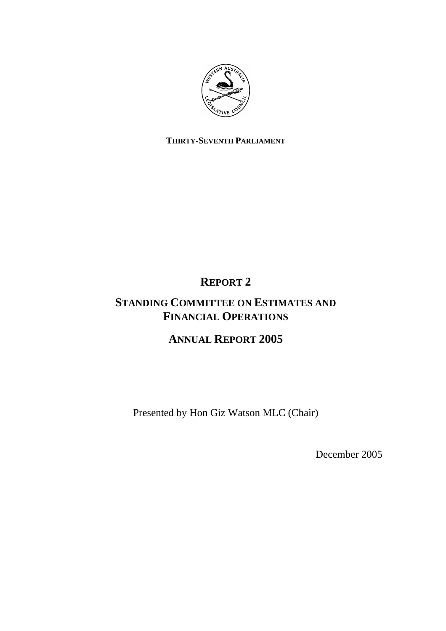

# **THIRTY-SEVENTH PARLIAMENT**

# **REPORT 2**

# **STANDING COMMITTEE ON ESTIMATES AND FINANCIAL OPERATIONS**

# **ANNUAL REPORT 2005**

Presented by Hon Giz Watson MLC (Chair)

December 2005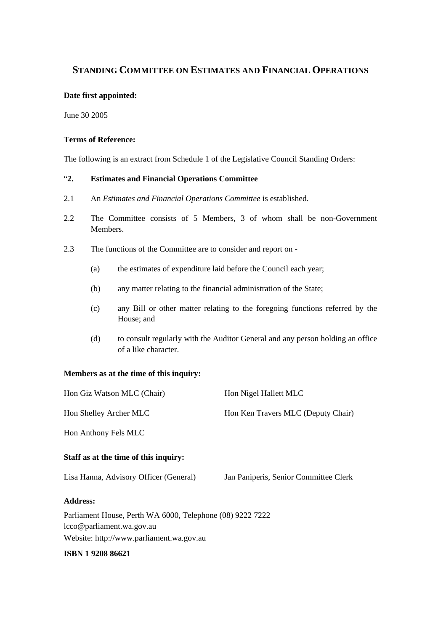# **STANDING COMMITTEE ON ESTIMATES AND FINANCIAL OPERATIONS**

#### **Date first appointed:**

June 30 2005

#### **Terms of Reference:**

The following is an extract from Schedule 1 of the Legislative Council Standing Orders:

# "**2. Estimates and Financial Operations Committee**

- 2.1 An *Estimates and Financial Operations Committee* is established.
- 2.2 The Committee consists of 5 Members, 3 of whom shall be non-Government Members.
- 2.3 The functions of the Committee are to consider and report on
	- (a) the estimates of expenditure laid before the Council each year;
	- (b) any matter relating to the financial administration of the State;
	- (c) any Bill or other matter relating to the foregoing functions referred by the House; and
	- (d) to consult regularly with the Auditor General and any person holding an office of a like character.

### **Members as at the time of this inquiry:**

| Hon Giz Watson MLC (Chair)                                | Hon Nigel Hallett MLC                 |  |
|-----------------------------------------------------------|---------------------------------------|--|
| Hon Shelley Archer MLC                                    | Hon Ken Travers MLC (Deputy Chair)    |  |
| Hon Anthony Fels MLC                                      |                                       |  |
| Staff as at the time of this inquiry:                     |                                       |  |
| Lisa Hanna, Advisory Officer (General)                    | Jan Paniperis, Senior Committee Clerk |  |
| <b>Address:</b>                                           |                                       |  |
| Parliament House, Perth WA 6000, Telephone (08) 9222 7222 |                                       |  |
| lcco@parliament.wa.gov.au                                 |                                       |  |
| Website: http://www.parliament.wa.gov.au                  |                                       |  |

#### **ISBN 1 9208 86621**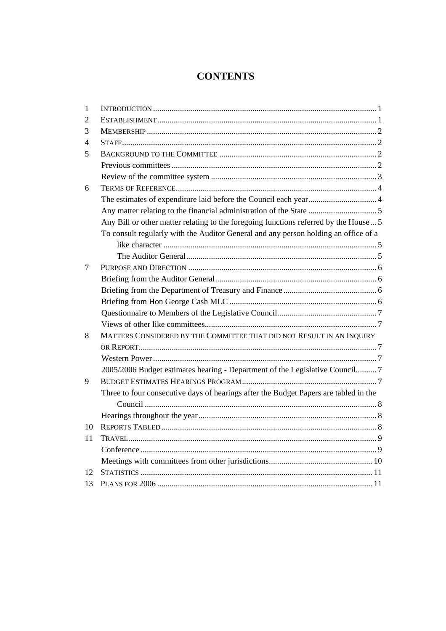# **CONTENTS**

| 1  |                                                                                      |  |
|----|--------------------------------------------------------------------------------------|--|
| 2  |                                                                                      |  |
| 3  |                                                                                      |  |
| 4  |                                                                                      |  |
| 5  |                                                                                      |  |
|    |                                                                                      |  |
|    |                                                                                      |  |
| 6  |                                                                                      |  |
|    | The estimates of expenditure laid before the Council each year 4                     |  |
|    |                                                                                      |  |
|    | Any Bill or other matter relating to the foregoing functions referred by the House 5 |  |
|    | To consult regularly with the Auditor General and any person holding an office of a  |  |
|    |                                                                                      |  |
|    |                                                                                      |  |
| 7  |                                                                                      |  |
|    |                                                                                      |  |
|    |                                                                                      |  |
|    |                                                                                      |  |
|    |                                                                                      |  |
|    |                                                                                      |  |
| 8  | MATTERS CONSIDERED BY THE COMMITTEE THAT DID NOT RESULT IN AN INQUIRY                |  |
|    |                                                                                      |  |
|    |                                                                                      |  |
|    | 2005/2006 Budget estimates hearing - Department of the Legislative Council 7         |  |
| 9  |                                                                                      |  |
|    | Three to four consecutive days of hearings after the Budget Papers are tabled in the |  |
|    |                                                                                      |  |
|    |                                                                                      |  |
| 10 |                                                                                      |  |
| 11 |                                                                                      |  |
|    |                                                                                      |  |
|    |                                                                                      |  |
| 12 |                                                                                      |  |
| 13 |                                                                                      |  |
|    |                                                                                      |  |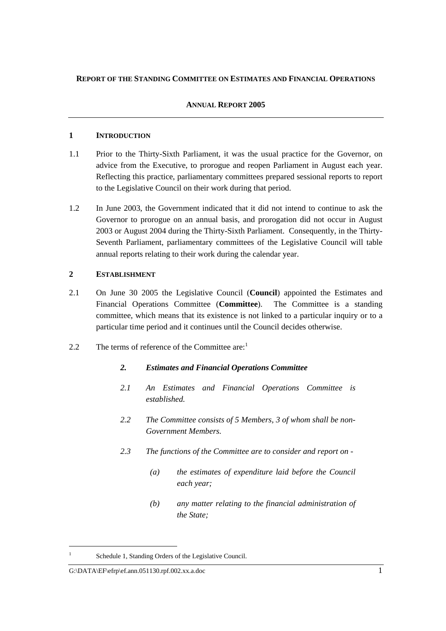#### **REPORT OF THE STANDING COMMITTEE ON ESTIMATES AND FINANCIAL OPERATIONS**

#### **ANNUAL REPORT 2005**

#### **1 INTRODUCTION**

- 1.1 Prior to the Thirty-Sixth Parliament, it was the usual practice for the Governor, on advice from the Executive, to prorogue and reopen Parliament in August each year. Reflecting this practice, parliamentary committees prepared sessional reports to report to the Legislative Council on their work during that period.
- 1.2 In June 2003, the Government indicated that it did not intend to continue to ask the Governor to prorogue on an annual basis, and prorogation did not occur in August 2003 or August 2004 during the Thirty-Sixth Parliament. Consequently, in the Thirty-Seventh Parliament, parliamentary committees of the Legislative Council will table annual reports relating to their work during the calendar year.

# **2 ESTABLISHMENT**

- 2.1 On June 30 2005 the Legislative Council (**Council**) appointed the Estimates and Financial Operations Committee (**Committee**). The Committee is a standing committee, which means that its existence is not linked to a particular inquiry or to a particular time period and it continues until the Council decides otherwise.
- 2.2 The terms of reference of the Committee are:

# *2. Estimates and Financial Operations Committee*

- *2.1 An Estimates and Financial Operations Committee is established.*
- *2.2 The Committee consists of 5 Members, 3 of whom shall be non-Government Members.*
- *2.3 The functions of the Committee are to consider and report on* 
	- *(a) the estimates of expenditure laid before the Council each year;*
	- *(b) any matter relating to the financial administration of the State;*

Schedule 1, Standing Orders of the Legislative Council.

G:\DATA\EF\efrp\ef.ann.051130.rpf.002.xx.a.doc 1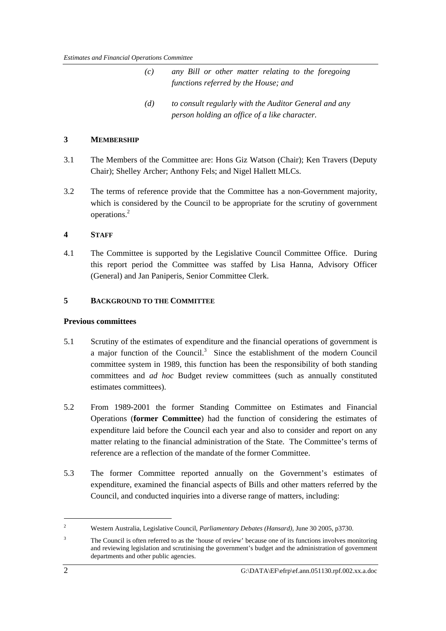| (c)                                  | any Bill or other matter relating to the foregoing |  |
|--------------------------------------|----------------------------------------------------|--|
| functions referred by the House; and |                                                    |  |

*<sup>(</sup>d) to consult regularly with the Auditor General and any person holding an office of a like character.* 

#### **3 MEMBERSHIP**

- 3.1 The Members of the Committee are: Hons Giz Watson (Chair); Ken Travers (Deputy Chair); Shelley Archer; Anthony Fels; and Nigel Hallett MLCs.
- 3.2 The terms of reference provide that the Committee has a non-Government majority, which is considered by the Council to be appropriate for the scrutiny of government operations.<sup>2</sup>

#### **4 STAFF**

4.1 The Committee is supported by the Legislative Council Committee Office. During this report period the Committee was staffed by Lisa Hanna, Advisory Officer (General) and Jan Paniperis, Senior Committee Clerk.

#### **5 BACKGROUND TO THE COMMITTEE**

#### **Previous committees**

- 5.1 Scrutiny of the estimates of expenditure and the financial operations of government is a major function of the Council.<sup>3</sup> Since the establishment of the modern Council committee system in 1989, this function has been the responsibility of both standing committees and *ad hoc* Budget review committees (such as annually constituted estimates committees).
- 5.2 From 1989-2001 the former Standing Committee on Estimates and Financial Operations (**former Committee**) had the function of considering the estimates of expenditure laid before the Council each year and also to consider and report on any matter relating to the financial administration of the State. The Committee's terms of reference are a reflection of the mandate of the former Committee.
- 5.3 The former Committee reported annually on the Government's estimates of expenditure, examined the financial aspects of Bills and other matters referred by the Council, and conducted inquiries into a diverse range of matters, including:

<sup>2</sup> Western Australia, Legislative Council, *Parliamentary Debates (Hansard),* June 30 2005, p3730.

<sup>3</sup> The Council is often referred to as the 'house of review' because one of its functions involves monitoring and reviewing legislation and scrutinising the government's budget and the administration of government departments and other public agencies.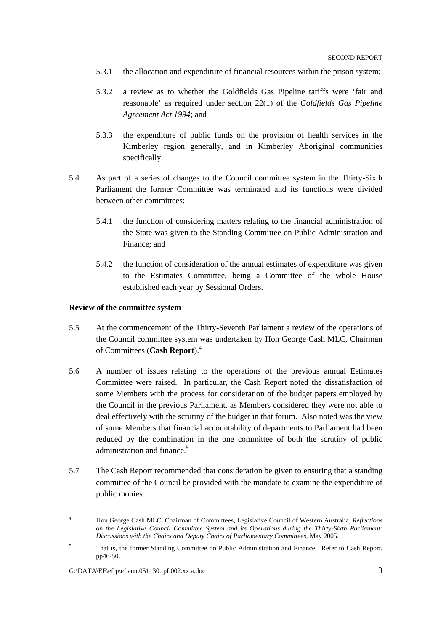- 5.3.1 the allocation and expenditure of financial resources within the prison system;
- 5.3.2 a review as to whether the Goldfields Gas Pipeline tariffs were 'fair and reasonable' as required under section 22(1) of the *Goldfields Gas Pipeline Agreement Act 1994*; and
- 5.3.3 the expenditure of public funds on the provision of health services in the Kimberley region generally, and in Kimberley Aboriginal communities specifically.
- 5.4 As part of a series of changes to the Council committee system in the Thirty-Sixth Parliament the former Committee was terminated and its functions were divided between other committees:
	- 5.4.1 the function of considering matters relating to the financial administration of the State was given to the Standing Committee on Public Administration and Finance; and
	- 5.4.2 the function of consideration of the annual estimates of expenditure was given to the Estimates Committee, being a Committee of the whole House established each year by Sessional Orders.

#### **Review of the committee system**

- 5.5 At the commencement of the Thirty-Seventh Parliament a review of the operations of the Council committee system was undertaken by Hon George Cash MLC, Chairman of Committees (**Cash Report**).<sup>4</sup>
- 5.6 A number of issues relating to the operations of the previous annual Estimates Committee were raised. In particular, the Cash Report noted the dissatisfaction of some Members with the process for consideration of the budget papers employed by the Council in the previous Parliament, as Members considered they were not able to deal effectively with the scrutiny of the budget in that forum. Also noted was the view of some Members that financial accountability of departments to Parliament had been reduced by the combination in the one committee of both the scrutiny of public administration and finance.<sup>5</sup>
- 5.7 The Cash Report recommended that consideration be given to ensuring that a standing committee of the Council be provided with the mandate to examine the expenditure of public monies.

<sup>4</sup> Hon George Cash MLC, Chairman of Committees, Legislative Council of Western Australia, *Reflections on the Legislative Council Committee System and its Operations during the Thirty-Sixth Parliament: Discussions with the Chairs and Deputy Chairs of Parliamentary Committees*, May 2005.

<sup>5</sup> That is, the former Standing Committee on Public Administration and Finance. Refer to Cash Report, pp46-50.

G: $\Delta\text{EF}\text{effp}\text{erf}$ .ann.051130.rpf.002.xx.a.doc 3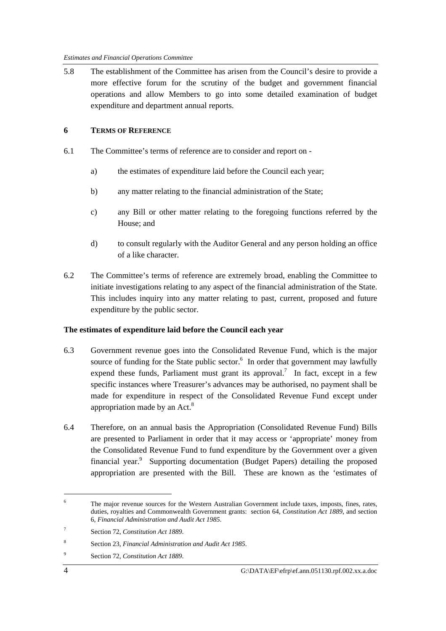5.8 The establishment of the Committee has arisen from the Council's desire to provide a more effective forum for the scrutiny of the budget and government financial operations and allow Members to go into some detailed examination of budget expenditure and department annual reports.

### **6 TERMS OF REFERENCE**

- 6.1 The Committee's terms of reference are to consider and report on
	- a) the estimates of expenditure laid before the Council each year;
	- b) any matter relating to the financial administration of the State;
	- c) any Bill or other matter relating to the foregoing functions referred by the House; and
	- d) to consult regularly with the Auditor General and any person holding an office of a like character.
- 6.2 The Committee's terms of reference are extremely broad, enabling the Committee to initiate investigations relating to any aspect of the financial administration of the State. This includes inquiry into any matter relating to past, current, proposed and future expenditure by the public sector.

# **The estimates of expenditure laid before the Council each year**

- 6.3 Government revenue goes into the Consolidated Revenue Fund, which is the major source of funding for the State public sector.<sup>6</sup> In order that government may lawfully expend these funds, Parliament must grant its approval.<sup>7</sup> In fact, except in a few specific instances where Treasurer's advances may be authorised, no payment shall be made for expenditure in respect of the Consolidated Revenue Fund except under appropriation made by an Act. $8$
- 6.4 Therefore, on an annual basis the Appropriation (Consolidated Revenue Fund) Bills are presented to Parliament in order that it may access or 'appropriate' money from the Consolidated Revenue Fund to fund expenditure by the Government over a given financial year.<sup>9</sup> Supporting documentation (Budget Papers) detailing the proposed appropriation are presented with the Bill. These are known as the 'estimates of

<sup>6</sup> The major revenue sources for the Western Australian Government include taxes, imposts, fines, rates, duties, royalties and Commonwealth Government grants: section 64, *Constitution Act 1889*, and section 6, *Financial Administration and Audit Act 1985*.

<sup>7</sup> Section 72, *Constitution Act 1889*.

<sup>8</sup> Section 23, *Financial Administration and Audit Act 1985*.

<sup>9</sup> Section 72, *Constitution Act 1889*.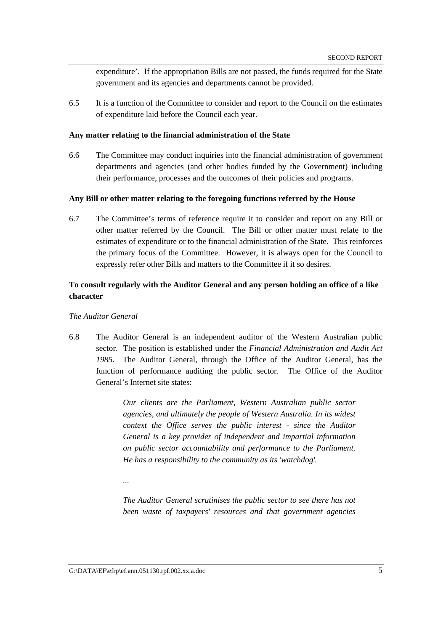expenditure'. If the appropriation Bills are not passed, the funds required for the State government and its agencies and departments cannot be provided.

6.5 It is a function of the Committee to consider and report to the Council on the estimates of expenditure laid before the Council each year.

#### **Any matter relating to the financial administration of the State**

6.6 The Committee may conduct inquiries into the financial administration of government departments and agencies (and other bodies funded by the Government) including their performance, processes and the outcomes of their policies and programs.

#### **Any Bill or other matter relating to the foregoing functions referred by the House**

6.7 The Committee's terms of reference require it to consider and report on any Bill or other matter referred by the Council. The Bill or other matter must relate to the estimates of expenditure or to the financial administration of the State. This reinforces the primary focus of the Committee. However, it is always open for the Council to expressly refer other Bills and matters to the Committee if it so desires.

# **To consult regularly with the Auditor General and any person holding an office of a like character**

#### *The Auditor General*

6.8 The Auditor General is an independent auditor of the Western Australian public sector. The position is established under the *Financial Administration and Audit Act 1985*. The Auditor General, through the Office of the Auditor General, has the function of performance auditing the public sector. The Office of the Auditor General's Internet site states:

> *Our clients are the Parliament, Western Australian public sector agencies, and ultimately the people of Western Australia. In its widest context the Office serves the public interest - since the Auditor General is a key provider of independent and impartial information on public sector accountability and performance to the Parliament. He has a responsibility to the community as its 'watchdog'.*

*...* 

*The Auditor General scrutinises the public sector to see there has not been waste of taxpayers' resources and that government agencies*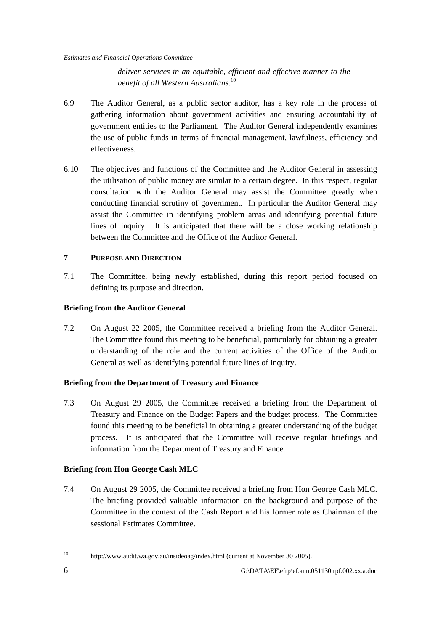*deliver services in an equitable, efficient and effective manner to the benefit of all Western Australians.*<sup>10</sup>

- 6.9 The Auditor General, as a public sector auditor, has a key role in the process of gathering information about government activities and ensuring accountability of government entities to the Parliament. The Auditor General independently examines the use of public funds in terms of financial management, lawfulness, efficiency and effectiveness.
- 6.10 The objectives and functions of the Committee and the Auditor General in assessing the utilisation of public money are similar to a certain degree. In this respect, regular consultation with the Auditor General may assist the Committee greatly when conducting financial scrutiny of government. In particular the Auditor General may assist the Committee in identifying problem areas and identifying potential future lines of inquiry. It is anticipated that there will be a close working relationship between the Committee and the Office of the Auditor General.

#### **7 PURPOSE AND DIRECTION**

7.1 The Committee, being newly established, during this report period focused on defining its purpose and direction.

#### **Briefing from the Auditor General**

7.2 On August 22 2005, the Committee received a briefing from the Auditor General. The Committee found this meeting to be beneficial, particularly for obtaining a greater understanding of the role and the current activities of the Office of the Auditor General as well as identifying potential future lines of inquiry.

# **Briefing from the Department of Treasury and Finance**

7.3 On August 29 2005, the Committee received a briefing from the Department of Treasury and Finance on the Budget Papers and the budget process. The Committee found this meeting to be beneficial in obtaining a greater understanding of the budget process. It is anticipated that the Committee will receive regular briefings and information from the Department of Treasury and Finance.

# **Briefing from Hon George Cash MLC**

7.4 On August 29 2005, the Committee received a briefing from Hon George Cash MLC. The briefing provided valuable information on the background and purpose of the Committee in the context of the Cash Report and his former role as Chairman of the sessional Estimates Committee.

<sup>10</sup> http://www.audit.wa.gov.au/insideoag/index.html (current at November 30 2005).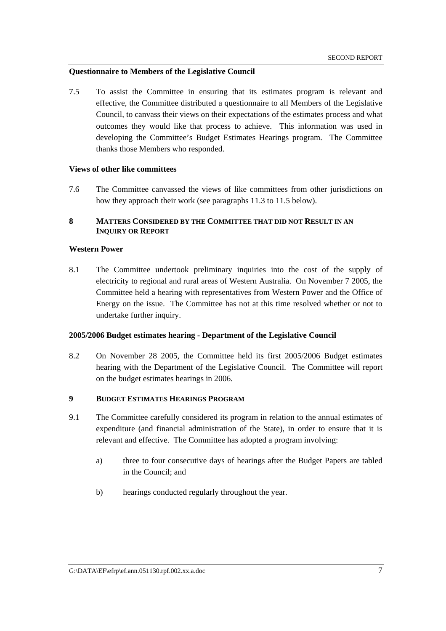#### **Questionnaire to Members of the Legislative Council**

7.5 To assist the Committee in ensuring that its estimates program is relevant and effective, the Committee distributed a questionnaire to all Members of the Legislative Council, to canvass their views on their expectations of the estimates process and what outcomes they would like that process to achieve. This information was used in developing the Committee's Budget Estimates Hearings program. The Committee thanks those Members who responded.

#### **Views of other like committees**

7.6 The Committee canvassed the views of like committees from other jurisdictions on how they approach their work (see paragraphs 11.3 to 11.5 below).

### **8 MATTERS CONSIDERED BY THE COMMITTEE THAT DID NOT RESULT IN AN INQUIRY OR REPORT**

#### **Western Power**

8.1 The Committee undertook preliminary inquiries into the cost of the supply of electricity to regional and rural areas of Western Australia. On November 7 2005, the Committee held a hearing with representatives from Western Power and the Office of Energy on the issue. The Committee has not at this time resolved whether or not to undertake further inquiry.

### **2005/2006 Budget estimates hearing - Department of the Legislative Council**

8.2 On November 28 2005, the Committee held its first 2005/2006 Budget estimates hearing with the Department of the Legislative Council. The Committee will report on the budget estimates hearings in 2006.

# **9 BUDGET ESTIMATES HEARINGS PROGRAM**

- 9.1 The Committee carefully considered its program in relation to the annual estimates of expenditure (and financial administration of the State), in order to ensure that it is relevant and effective. The Committee has adopted a program involving:
	- a) three to four consecutive days of hearings after the Budget Papers are tabled in the Council; and
	- b) hearings conducted regularly throughout the year.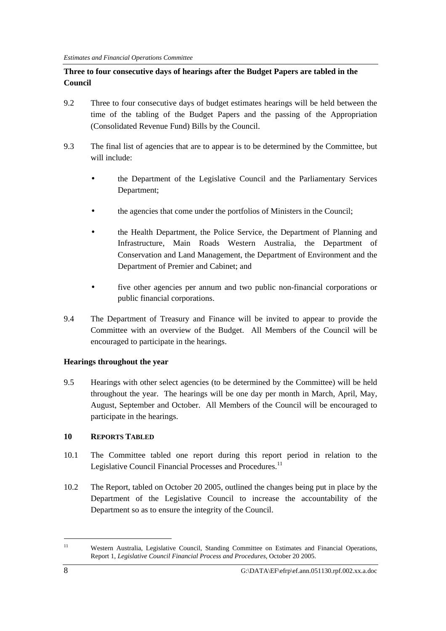# **Three to four consecutive days of hearings after the Budget Papers are tabled in the Council**

- 9.2 Three to four consecutive days of budget estimates hearings will be held between the time of the tabling of the Budget Papers and the passing of the Appropriation (Consolidated Revenue Fund) Bills by the Council.
- 9.3 The final list of agencies that are to appear is to be determined by the Committee, but will include:
	- the Department of the Legislative Council and the Parliamentary Services Department;
	- the agencies that come under the portfolios of Ministers in the Council;
	- the Health Department, the Police Service, the Department of Planning and Infrastructure, Main Roads Western Australia, the Department of Conservation and Land Management, the Department of Environment and the Department of Premier and Cabinet; and
	- five other agencies per annum and two public non-financial corporations or public financial corporations.
- 9.4 The Department of Treasury and Finance will be invited to appear to provide the Committee with an overview of the Budget. All Members of the Council will be encouraged to participate in the hearings.

# **Hearings throughout the year**

9.5 Hearings with other select agencies (to be determined by the Committee) will be held throughout the year. The hearings will be one day per month in March, April, May, August, September and October. All Members of the Council will be encouraged to participate in the hearings.

# **10 REPORTS TABLED**

- 10.1 The Committee tabled one report during this report period in relation to the Legislative Council Financial Processes and Procedures.<sup>11</sup>
- 10.2 The Report, tabled on October 20 2005, outlined the changes being put in place by the Department of the Legislative Council to increase the accountability of the Department so as to ensure the integrity of the Council.

<sup>11</sup> Western Australia, Legislative Council, Standing Committee on Estimates and Financial Operations, Report 1, *Legislative Council Financial Process and Procedures,* October 20 2005.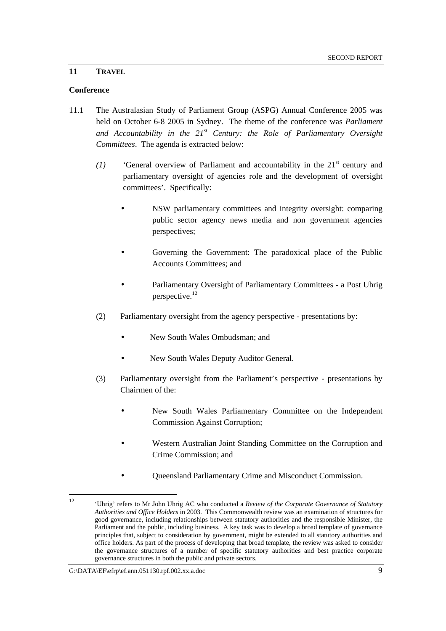#### **11 TRAVEL**

#### **Conference**

- 11.1 The Australasian Study of Parliament Group (ASPG) Annual Conference 2005 was held on October 6-8 2005 in Sydney. The theme of the conference was *Parliament and Accountability in the 21st Century: the Role of Parliamentary Oversight Committees*. The agenda is extracted below:
	- *(1)* **'General overview of Parliament and accountability in the 21<sup>st</sup> century and** parliamentary oversight of agencies role and the development of oversight committees'. Specifically:
		- NSW parliamentary committees and integrity oversight: comparing public sector agency news media and non government agencies perspectives;
		- Governing the Government: The paradoxical place of the Public Accounts Committees; and
		- Parliamentary Oversight of Parliamentary Committees a Post Uhrig perspective.<sup>12</sup>
	- (2) Parliamentary oversight from the agency perspective presentations by:
		- New South Wales Ombudsman; and
		- New South Wales Deputy Auditor General.
	- (3) Parliamentary oversight from the Parliament's perspective presentations by Chairmen of the:
		- New South Wales Parliamentary Committee on the Independent Commission Against Corruption;
		- Western Australian Joint Standing Committee on the Corruption and Crime Commission; and
		- Queensland Parliamentary Crime and Misconduct Commission.

 $\frac{1}{12}$  'Uhrig' refers to Mr John Uhrig AC who conducted a *Review of the Corporate Governance of Statutory Authorities and Office Holders* in 2003. This Commonwealth review was an examination of structures for good governance, including relationships between statutory authorities and the responsible Minister, the Parliament and the public, including business. A key task was to develop a broad template of governance principles that, subject to consideration by government, might be extended to all statutory authorities and office holders. As part of the process of developing that broad template, the review was asked to consider the governance structures of a number of specific statutory authorities and best practice corporate governance structures in both the public and private sectors.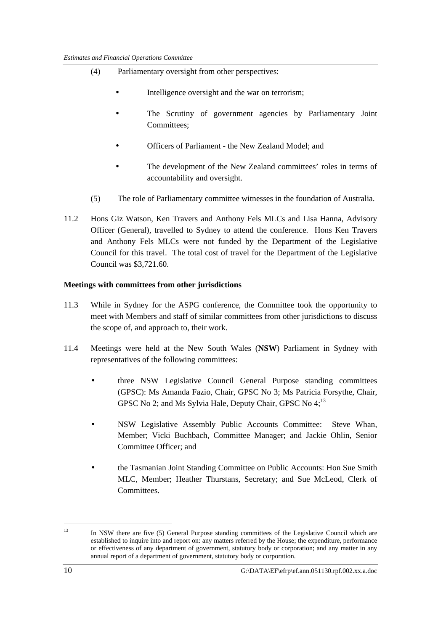- (4) Parliamentary oversight from other perspectives:
	- Intelligence oversight and the war on terrorism:
	- The Scrutiny of government agencies by Parliamentary Joint Committees<sup>.</sup>
	- Officers of Parliament the New Zealand Model; and
	- The development of the New Zealand committees' roles in terms of accountability and oversight.
- (5) The role of Parliamentary committee witnesses in the foundation of Australia.
- 11.2 Hons Giz Watson, Ken Travers and Anthony Fels MLCs and Lisa Hanna, Advisory Officer (General), travelled to Sydney to attend the conference. Hons Ken Travers and Anthony Fels MLCs were not funded by the Department of the Legislative Council for this travel. The total cost of travel for the Department of the Legislative Council was \$3,721.60.

#### **Meetings with committees from other jurisdictions**

- 11.3 While in Sydney for the ASPG conference, the Committee took the opportunity to meet with Members and staff of similar committees from other jurisdictions to discuss the scope of, and approach to, their work.
- 11.4 Meetings were held at the New South Wales (**NSW**) Parliament in Sydney with representatives of the following committees:
	- three NSW Legislative Council General Purpose standing committees (GPSC): Ms Amanda Fazio, Chair, GPSC No 3; Ms Patricia Forsythe, Chair, GPSC No 2; and Ms Sylvia Hale, Deputy Chair, GPSC No  $4$ <sup>13</sup>
	- NSW Legislative Assembly Public Accounts Committee: Steve Whan, Member; Vicki Buchbach, Committee Manager; and Jackie Ohlin, Senior Committee Officer; and
	- the Tasmanian Joint Standing Committee on Public Accounts: Hon Sue Smith MLC, Member; Heather Thurstans, Secretary; and Sue McLeod, Clerk of **Committees**

<sup>&</sup>lt;sup>13</sup> In NSW there are five (5) General Purpose standing committees of the Legislative Council which are established to inquire into and report on: any matters referred by the House; the expenditure, performance or effectiveness of any department of government, statutory body or corporation; and any matter in any annual report of a department of government, statutory body or corporation.